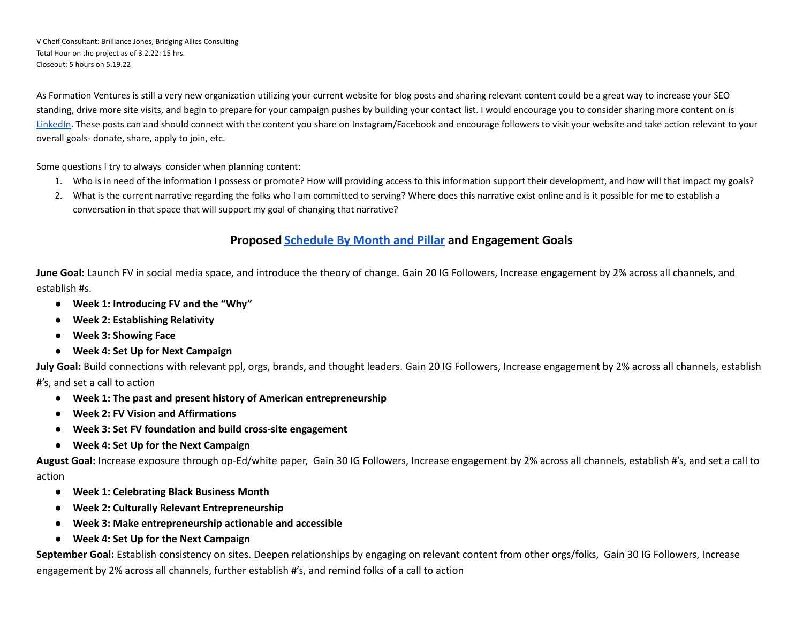V Cheif Consultant: Brilliance Jones, Bridging Allies Consulting Total Hour on the project as of 3.2.22: 15 hrs. Closeout: 5 hours on 5.19.22

As Formation Ventures is still a very new organization utilizing your current website for blog posts and sharing relevant content could be a great way to increase your SEO standing, drive more site visits, and begin to prepare for your campaign pushes by building your contact list. I would encourage you to consider sharing more content on is [LinkedIn.](https://www.linkedin.com/pulse/what-type-content-perform-best-linkedin-kat-sonson/) These posts can and should connect with the content you share on Instagram/Facebook and encourage followers to visit your website and take action relevant to your overall goals- donate, share, apply to join, etc.

Some questions I try to always consider when planning content:

- 1. Who is in need of the information I possess or promote? How will providing access to this information support their development, and how will that impact my goals?
- 2. What is the current narrative regarding the folks who I am committed to serving? Where does this narrative exist online and is it possible for me to establish a conversation in that space that will support my goal of changing that narrative?

### **Proposed [Schedule](https://docs.google.com/spreadsheets/d/1fb2Y50l0y5K6YGLhPrpqoY4HrA62lvvb1pms1GN80rg/edit#gid=1422355180) By Month and Pillar and Engagement Goals**

**June Goal:** Launch FV in social media space, and introduce the theory of change. Gain 20 IG Followers, Increase engagement by 2% across all channels, and establish #s.

- **● Week 1: Introducing FV and the "Why"**
- **● Week 2: Establishing Relativity**
- **● Week 3: Showing Face**
- **● Week 4: Set Up for Next Campaign**

**July Goal:** Build connections with relevant ppl, orgs, brands, and thought leaders. Gain 20 IG Followers, Increase engagement by 2% across all channels, establish #'s, and set a call to action

- **● Week 1: The past and present history of American entrepreneurship**
- **● Week 2: FV Vision and Affirmations**
- **● Week 3: Set FV foundation and build cross-site engagement**
- **● Week 4: Set Up for the Next Campaign**

**August Goal:** Increase exposure through op-Ed/white paper, Gain 30 IG Followers, Increase engagement by 2% across all channels, establish #'s, and set a call to action

- **● Week 1: Celebrating Black Business Month**
- **● Week 2: Culturally Relevant Entrepreneurship**
- **● Week 3: Make entrepreneurship actionable and accessible**
- **● Week 4: Set Up for the Next Campaign**

**September Goal:** Establish consistency on sites. Deepen relationships by engaging on relevant content from other orgs/folks, Gain 30 IG Followers, Increase engagement by 2% across all channels, further establish #'s, and remind folks of a call to action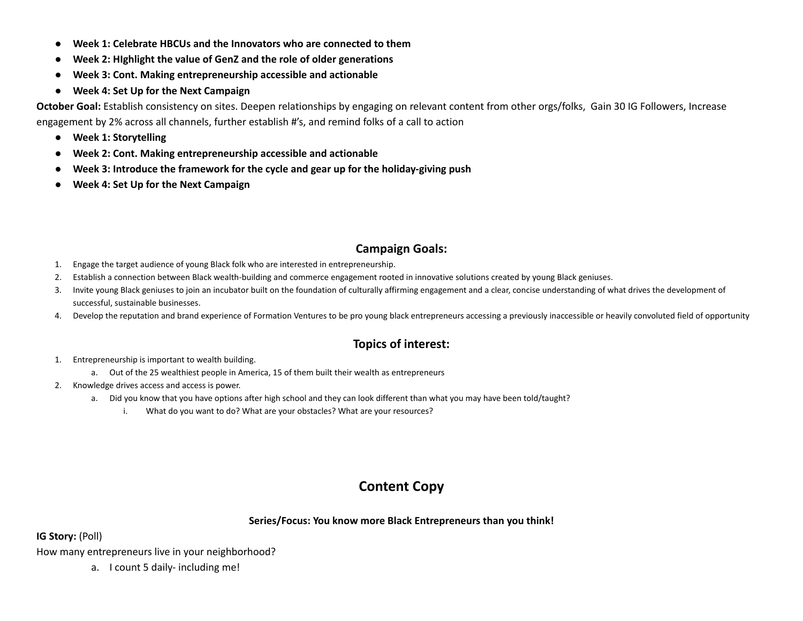- **● Week 1: Celebrate HBCUs and the Innovators who are connected to them**
- **● Week 2: HIghlight the value of GenZ and the role of older generations**
- **● Week 3: Cont. Making entrepreneurship accessible and actionable**
- **● Week 4: Set Up for the Next Campaign**

**October Goal:** Establish consistency on sites. Deepen relationships by engaging on relevant content from other orgs/folks, Gain 30 IG Followers, Increase engagement by 2% across all channels, further establish #'s, and remind folks of a call to action

- **● Week 1: Storytelling**
- **● Week 2: Cont. Making entrepreneurship accessible and actionable**
- **● Week 3: Introduce the framework for the cycle and gear up for the holiday-giving push**
- **● Week 4: Set Up for the Next Campaign**

# **Campaign Goals:**

- 1. Engage the target audience of young Black folk who are interested in entrepreneurship.
- 2. Establish a connection between Black wealth-building and commerce engagement rooted in innovative solutions created by young Black geniuses.
- 3. Invite young Black geniuses to join an incubator built on the foundation of culturally affirming engagement and a clear, concise understanding of what drives the development of successful, sustainable businesses.
- 4. Develop the reputation and brand experience of Formation Ventures to be pro young black entrepreneurs accessing a previously inaccessible or heavily convoluted field of opportunity

## **Topics of interest:**

- 1. Entrepreneurship is important to wealth building.
	- a. Out of the 25 wealthiest people in America, 15 of them built their wealth as entrepreneurs
- 2. Knowledge drives access and access is power.
	- a. Did you know that you have options after high school and they can look different than what you may have been told/taught?
		- i. What do you want to do? What are your obstacles? What are your resources?

# **Content Copy**

#### **Series/Focus: You know more Black Entrepreneurs than you think!**

#### **IG Story:** (Poll)

How many entrepreneurs live in your neighborhood?

a. I count 5 daily- including me!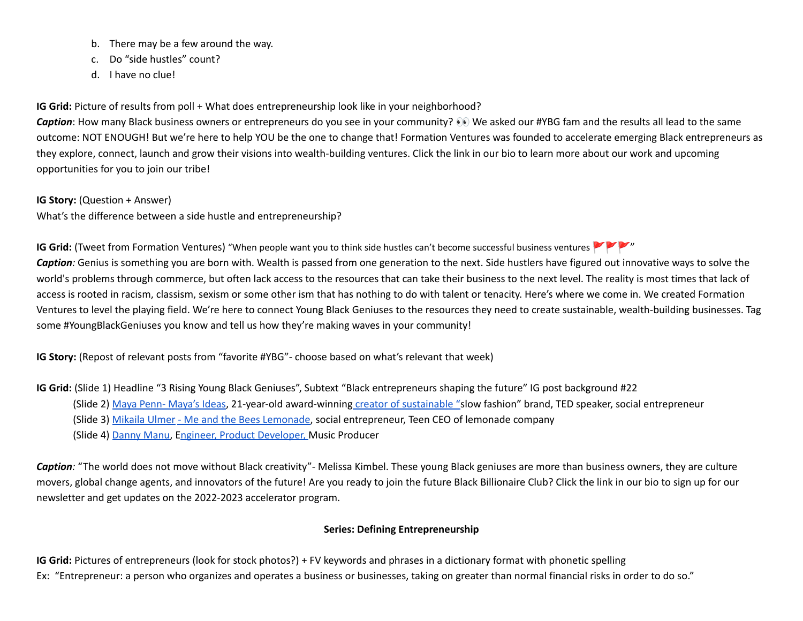- b. There may be a few around the way.
- c. Do "side hustles" count?
- d. I have no clue!

**IG** Grid: Picture of results from poll + What does entrepreneurship look like in your neighborhood?

**Caption**: How many Black business owners or entrepreneurs do you see in your community? **©** We asked our #YBG fam and the results all lead to the same outcome: NOT ENOUGH! But we're here to help YOU be the one to change that! Formation Ventures was founded to accelerate emerging Black entrepreneurs as they explore, connect, launch and grow their visions into wealth-building ventures. Click the link in our bio to learn more about our work and upcoming opportunities for you to join our tribe!

**IG Story:** (Question + Answer)

What's the difference between a side hustle and entrepreneurship?

**IG Grid:** (Tweet from Formation Ventures) "When people want you to think side hustles can't become successful business ventures " Caption: Genius is something you are born with. Wealth is passed from one generation to the next. Side hustlers have figured out innovative ways to solve the world's problems through commerce, but often lack access to the resources that can take their business to the next level. The reality is most times that lack of access is rooted in racism, classism, sexism or some other ism that has nothing to do with talent or tenacity. Here's where we come in. We created Formation Ventures to level the playing field. We're here to connect Young Black Geniuses to the resources they need to create sustainable, wealth-building businesses. Tag some #YoungBlackGeniuses you know and tell us how they're making waves in your community!

**IG Story:** (Repost of relevant posts from "favorite #YBG"- choose based on what's relevant that week)

**IG Grid:** (Slide 1) Headline "3 Rising Young Black Geniuses", Subtext "Black entrepreneurs shaping the future" IG post background #22

- (Slide 2) Maya Penn- [Maya's](https://mayasideas.com/) Ideas, 21-year-old award-winning creator of [sustainable](https://www.instagram.com/mayasideas/) "slow fashion" brand, TED speaker, social entrepreneur
- (Slide 3) [Mikaila](https://www.instagram.com/mikailasbees/) Ulmer Me and the Bees [Lemonade](https://www.meandthebees.com/), social entrepreneur, Teen CEO of lemonade company
- (Slide 4) [Danny](https://dannymanu.com/) Manu, Engineer, Product [Developer,](https://dannymanu.com/portfolio/) Music Producer

*Caption:* "The world does not move without Black creativity"- Melissa Kimbel. These young Black geniuses are more than business owners, they are culture movers, global change agents, and innovators of the future! Are you ready to join the future Black Billionaire Club? Click the link in our bio to sign up for our newsletter and get updates on the 2022-2023 accelerator program.

## **Series: Defining Entrepreneurship**

**IG Grid:** Pictures of entrepreneurs (look for stock photos?) + FV keywords and phrases in a dictionary format with phonetic spelling Ex: "Entrepreneur: a person who organizes and operates a business or businesses, taking on greater than normal financial risks in order to do so."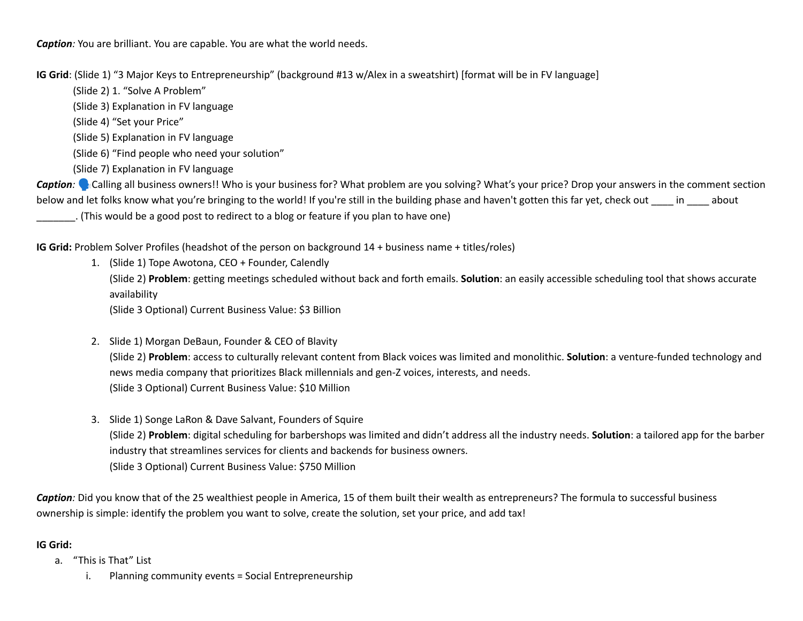*Caption:* You are brilliant. You are capable. You are what the world needs.

**IG Grid**: (Slide 1) "3 Major Keys to Entrepreneurship" (background #13 w/Alex in a sweatshirt) [format will be in FV language]

(Slide 2) 1. "Solve A Problem"

(Slide 3) Explanation in FV language

(Slide 4) "Set your Price"

(Slide 5) Explanation in FV language

(Slide 6) "Find people who need your solution"

(Slide 7) Explanation in FV language

**Caption:** Calling all business owners!! Who is your business for? What problem are you solving? What's your price? Drop your answers in the comment section below and let folks know what you're bringing to the world! If you're still in the building phase and haven't gotten this far yet, check out in about

\_\_\_\_\_\_\_. (This would be a good post to redirect to a blog or feature if you plan to have one)

**IG Grid:** Problem Solver Profiles (headshot of the person on background 14 + business name + titles/roles)

- 1. (Slide 1) Tope Awotona, CEO + Founder, Calendly (Slide 2) **Problem**: getting meetings scheduled without back and forth emails. **Solution**: an easily accessible scheduling tool that shows accurate availability (Slide 3 Optional) Current Business Value: \$3 Billion
- 2. Slide 1) Morgan DeBaun, Founder & CEO of Blavity (Slide 2) **Problem**: access to culturally relevant content from Black voices was limited and monolithic. **Solution**: a venture-funded technology and news media company that prioritizes Black millennials and gen-Z voices, interests, and needs. (Slide 3 Optional) Current Business Value: \$10 Million
- 3. Slide 1) Songe LaRon & Dave Salvant, Founders of Squire (Slide 2) **Problem**: digital scheduling for barbershops was limited and didn't address all the industry needs. **Solution**: a tailored app for the barber industry that streamlines services for clients and backends for business owners. (Slide 3 Optional) Current Business Value: \$750 Million

*Caption:* Did you know that of the 25 wealthiest people in America, 15 of them built their wealth as entrepreneurs? The formula to successful business ownership is simple: identify the problem you want to solve, create the solution, set your price, and add tax!

### **IG Grid:**

- a. "This is That" List
	- i. Planning community events = Social Entrepreneurship